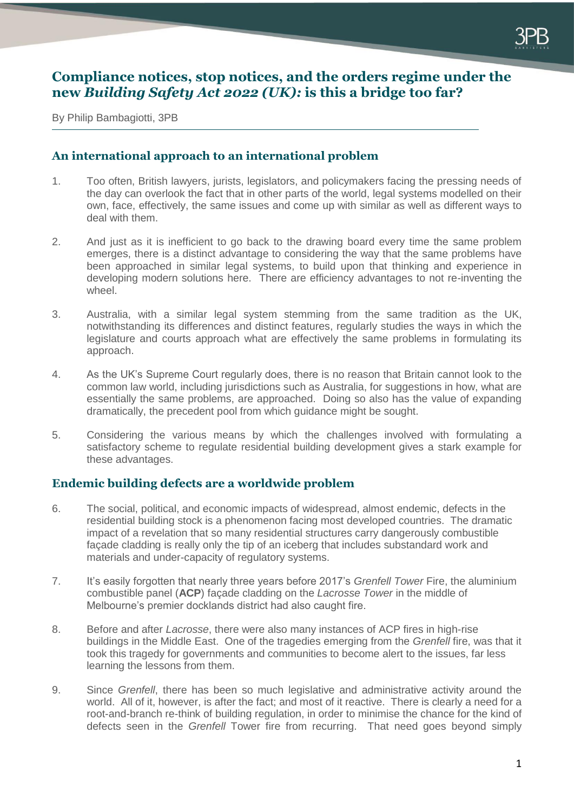## **Compliance notices, stop notices, and the orders regime under the new** *Building Safety Act 2022 (UK):* **is this a bridge too far?**

By Philip Bambagiotti, 3PB

### **An international approach to an international problem**

- 1. Too often, British lawyers, jurists, legislators, and policymakers facing the pressing needs of the day can overlook the fact that in other parts of the world, legal systems modelled on their own, face, effectively, the same issues and come up with similar as well as different ways to deal with them.
- 2. And just as it is inefficient to go back to the drawing board every time the same problem emerges, there is a distinct advantage to considering the way that the same problems have been approached in similar legal systems, to build upon that thinking and experience in developing modern solutions here. There are efficiency advantages to not re-inventing the wheel.
- 3. Australia, with a similar legal system stemming from the same tradition as the UK, notwithstanding its differences and distinct features, regularly studies the ways in which the legislature and courts approach what are effectively the same problems in formulating its approach.
- 4. As the UK's Supreme Court regularly does, there is no reason that Britain cannot look to the common law world, including jurisdictions such as Australia, for suggestions in how, what are essentially the same problems, are approached. Doing so also has the value of expanding dramatically, the precedent pool from which guidance might be sought.
- 5. Considering the various means by which the challenges involved with formulating a satisfactory scheme to regulate residential building development gives a stark example for these advantages.

## **Endemic building defects are a worldwide problem**

- 6. The social, political, and economic impacts of widespread, almost endemic, defects in the residential building stock is a phenomenon facing most developed countries. The dramatic impact of a revelation that so many residential structures carry dangerously combustible façade cladding is really only the tip of an iceberg that includes substandard work and materials and under-capacity of regulatory systems.
- 7. It's easily forgotten that nearly three years before 2017's *Grenfell Tower* Fire, the aluminium combustible panel (**ACP**) façade cladding on the *Lacrosse Tower* in the middle of Melbourne's premier docklands district had also caught fire.
- 8. Before and after *Lacrosse*, there were also many instances of ACP fires in high-rise buildings in the Middle East. One of the tragedies emerging from the *Grenfell* fire, was that it took this tragedy for governments and communities to become alert to the issues, far less learning the lessons from them.
- 9. Since *Grenfell*, there has been so much legislative and administrative activity around the world. All of it, however, is after the fact; and most of it reactive. There is clearly a need for a root-and-branch re-think of building regulation, in order to minimise the chance for the kind of defects seen in the *Grenfell* Tower fire from recurring. That need goes beyond simply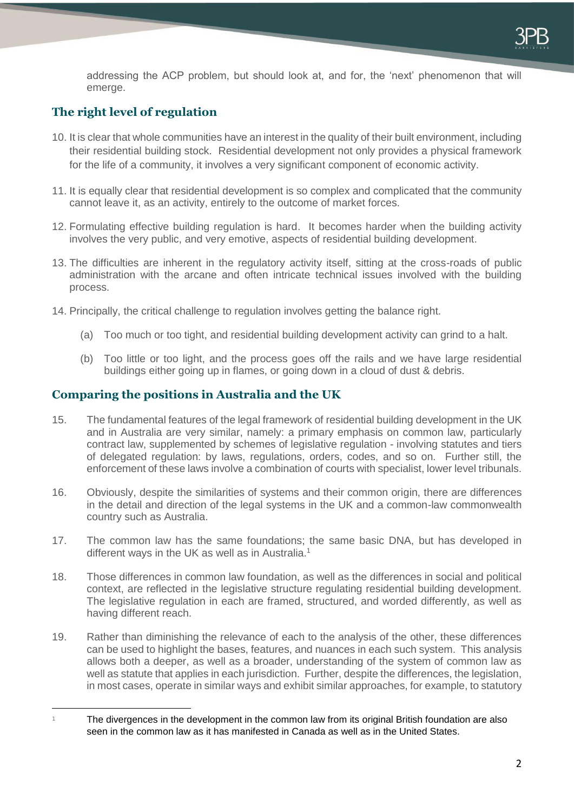addressing the ACP problem, but should look at, and for, the 'next' phenomenon that will emerge.

# **The right level of regulation**

-

- 10. It is clear that whole communities have an interest in the quality of their built environment, including their residential building stock. Residential development not only provides a physical framework for the life of a community, it involves a very significant component of economic activity.
- 11. It is equally clear that residential development is so complex and complicated that the community cannot leave it, as an activity, entirely to the outcome of market forces.
- 12. Formulating effective building regulation is hard. It becomes harder when the building activity involves the very public, and very emotive, aspects of residential building development.
- 13. The difficulties are inherent in the regulatory activity itself, sitting at the cross-roads of public administration with the arcane and often intricate technical issues involved with the building process.
- 14. Principally, the critical challenge to regulation involves getting the balance right.
	- (a) Too much or too tight, and residential building development activity can grind to a halt.
	- (b) Too little or too light, and the process goes off the rails and we have large residential buildings either going up in flames, or going down in a cloud of dust & debris.

### **Comparing the positions in Australia and the UK**

- 15. The fundamental features of the legal framework of residential building development in the UK and in Australia are very similar, namely: a primary emphasis on common law, particularly contract law, supplemented by schemes of legislative regulation - involving statutes and tiers of delegated regulation: by laws, regulations, orders, codes, and so on. Further still, the enforcement of these laws involve a combination of courts with specialist, lower level tribunals.
- 16. Obviously, despite the similarities of systems and their common origin, there are differences in the detail and direction of the legal systems in the UK and a common-law commonwealth country such as Australia.
- 17. The common law has the same foundations; the same basic DNA, but has developed in different ways in the UK as well as in Australia.<sup>1</sup>
- 18. Those differences in common law foundation, as well as the differences in social and political context, are reflected in the legislative structure regulating residential building development. The legislative regulation in each are framed, structured, and worded differently, as well as having different reach.
- 19. Rather than diminishing the relevance of each to the analysis of the other, these differences can be used to highlight the bases, features, and nuances in each such system. This analysis allows both a deeper, as well as a broader, understanding of the system of common law as well as statute that applies in each jurisdiction. Further, despite the differences, the legislation, in most cases, operate in similar ways and exhibit similar approaches, for example, to statutory

 $1 \qquad$  The divergences in the development in the common law from its original British foundation are also seen in the common law as it has manifested in Canada as well as in the United States.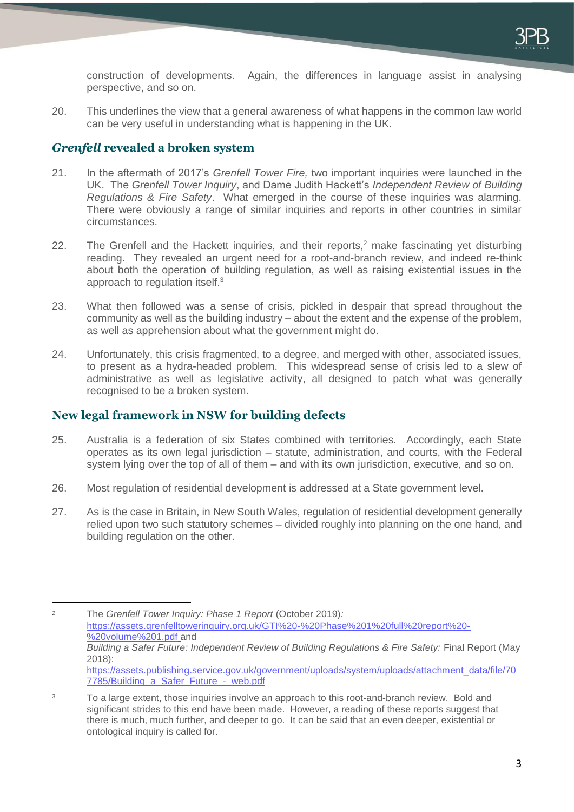construction of developments. Again, the differences in language assist in analysing perspective, and so on.

20. This underlines the view that a general awareness of what happens in the common law world can be very useful in understanding what is happening in the UK.

### *Grenfell* **revealed a broken system**

- 21. In the aftermath of 2017's *Grenfell Tower Fire,* two important inquiries were launched in the UK. The *Grenfell Tower Inquiry*, and Dame Judith Hackett's *Independent Review of Building Regulations & Fire Safety*. What emerged in the course of these inquiries was alarming. There were obviously a range of similar inquiries and reports in other countries in similar circumstances.
- 22. The Grenfell and the Hackett inquiries, and their reports,<sup>2</sup> make fascinating yet disturbing reading. They revealed an urgent need for a root-and-branch review, and indeed re-think about both the operation of building regulation, as well as raising existential issues in the approach to regulation itself.<sup>3</sup>
- 23. What then followed was a sense of crisis, pickled in despair that spread throughout the community as well as the building industry – about the extent and the expense of the problem, as well as apprehension about what the government might do.
- 24. Unfortunately, this crisis fragmented, to a degree, and merged with other, associated issues, to present as a hydra-headed problem. This widespread sense of crisis led to a slew of administrative as well as legislative activity, all designed to patch what was generally recognised to be a broken system.

## **New legal framework in NSW for building defects**

-

- 25. Australia is a federation of six States combined with territories. Accordingly, each State operates as its own legal jurisdiction – statute, administration, and courts, with the Federal system lying over the top of all of them – and with its own jurisdiction, executive, and so on.
- 26. Most regulation of residential development is addressed at a State government level.
- 27. As is the case in Britain, in New South Wales, regulation of residential development generally relied upon two such statutory schemes – divided roughly into planning on the one hand, and building regulation on the other.

<sup>2</sup> The *Grenfell Tower Inquiry: Phase 1 Report* (October 2019)*:*  [https://assets.grenfelltowerinquiry.org.uk/GTI%20-%20Phase%201%20full%20report%20-](https://assets.grenfelltowerinquiry.org.uk/GTI%20-%20Phase%201%20full%20report%20-%20volume%201.pdf) [%20volume%201.pdf](https://assets.grenfelltowerinquiry.org.uk/GTI%20-%20Phase%201%20full%20report%20-%20volume%201.pdf) and *Building a Safer Future: Independent Review of Building Regulations & Fire Safety:* Final Report (May 2018): [https://assets.publishing.service.gov.uk/government/uploads/system/uploads/attachment\\_data/file/70](https://assets.publishing.service.gov.uk/government/uploads/system/uploads/attachment_data/file/707785/Building_a_Safer_Future_-_web.pdf) [7785/Building\\_a\\_Safer\\_Future\\_-\\_web.pdf](https://assets.publishing.service.gov.uk/government/uploads/system/uploads/attachment_data/file/707785/Building_a_Safer_Future_-_web.pdf)

<sup>&</sup>lt;sup>3</sup> To a large extent, those inquiries involve an approach to this root-and-branch review. Bold and significant strides to this end have been made. However, a reading of these reports suggest that there is much, much further, and deeper to go. It can be said that an even deeper, existential or ontological inquiry is called for.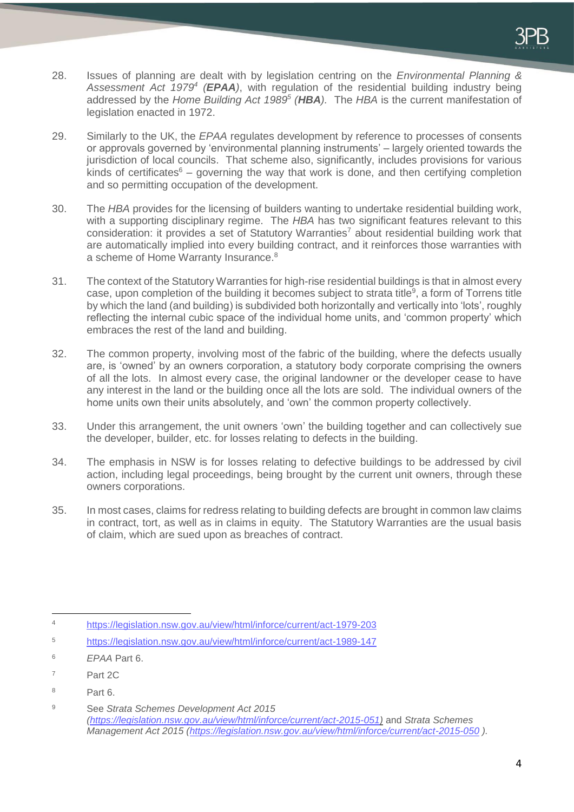- 28. Issues of planning are dealt with by legislation centring on the *Environmental Planning & Assessment Act 1979<sup>4</sup> (EPAA)*, with regulation of the residential building industry being addressed by the *Home Building Act 1989<sup>5</sup> (HBA).* The *HBA* is the current manifestation of legislation enacted in 1972.
- 29. Similarly to the UK, the *EPAA* regulates development by reference to processes of consents or approvals governed by 'environmental planning instruments' – largely oriented towards the jurisdiction of local councils. That scheme also, significantly, includes provisions for various kinds of certificates<sup>6</sup> – governing the way that work is done, and then certifying completion and so permitting occupation of the development.
- 30. The *HBA* provides for the licensing of builders wanting to undertake residential building work, with a supporting disciplinary regime. The *HBA* has two significant features relevant to this consideration: it provides a set of Statutory Warranties<sup>7</sup> about residential building work that are automatically implied into every building contract, and it reinforces those warranties with a scheme of Home Warranty Insurance.<sup>8</sup>
- 31. The context of the Statutory Warranties for high-rise residential buildings is that in almost every case, upon completion of the building it becomes subject to strata title<sup>9</sup>, a form of Torrens title by which the land (and building) is subdivided both horizontally and vertically into 'lots', roughly reflecting the internal cubic space of the individual home units, and 'common property' which embraces the rest of the land and building.
- 32. The common property, involving most of the fabric of the building, where the defects usually are, is 'owned' by an owners corporation, a statutory body corporate comprising the owners of all the lots. In almost every case, the original landowner or the developer cease to have any interest in the land or the building once all the lots are sold. The individual owners of the home units own their units absolutely, and 'own' the common property collectively.
- 33. Under this arrangement, the unit owners 'own' the building together and can collectively sue the developer, builder, etc. for losses relating to defects in the building.
- 34. The emphasis in NSW is for losses relating to defective buildings to be addressed by civil action, including legal proceedings, being brought by the current unit owners, through these owners corporations.
- 35. In most cases, claims for redress relating to building defects are brought in common law claims in contract, tort, as well as in claims in equity. The Statutory Warranties are the usual basis of claim, which are sued upon as breaches of contract.

<sup>8</sup> Part 6.

<sup>-</sup><sup>4</sup> <https://legislation.nsw.gov.au/view/html/inforce/current/act-1979-203>

<sup>5</sup> <https://legislation.nsw.gov.au/view/html/inforce/current/act-1989-147>

<sup>6</sup> *EPAA* Part 6.

<sup>7</sup> Part 2C

<sup>9</sup> See *Strata Schemes Development Act 2015 [\(https://legislation.nsw.gov.au/view/html/inforce/current/act-2015-051\)](https://legislation.nsw.gov.au/view/html/inforce/current/act-2015-051)* and *Strata Schemes Management Act 2015 [\(https://legislation.nsw.gov.au/view/html/inforce/current/act-2015-050](https://legislation.nsw.gov.au/view/html/inforce/current/act-2015-050) ).*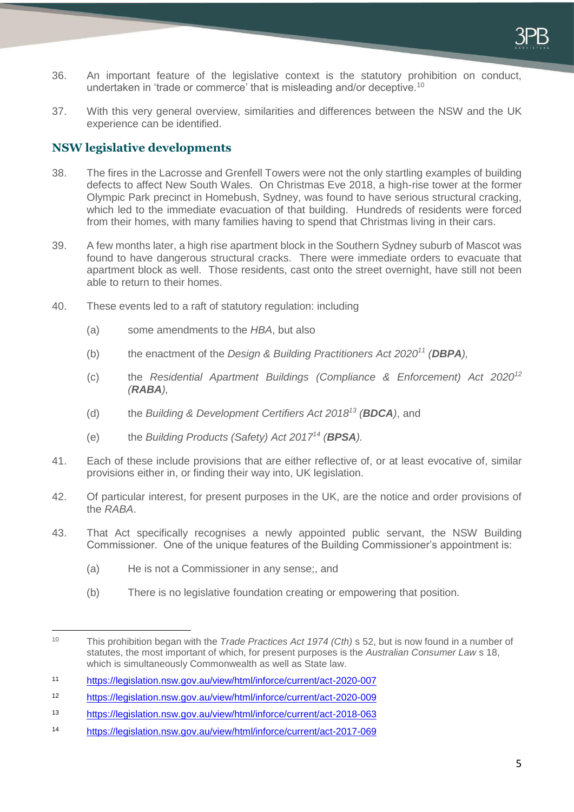- 36. An important feature of the legislative context is the statutory prohibition on conduct, undertaken in 'trade or commerce' that is misleading and/or deceptive.<sup>10</sup>
- 37. With this very general overview, similarities and differences between the NSW and the UK experience can be identified.

### **NSW legislative developments**

- 38. The fires in the Lacrosse and Grenfell Towers were not the only startling examples of building defects to affect New South Wales. On Christmas Eve 2018, a high-rise tower at the former Olympic Park precinct in Homebush, Sydney, was found to have serious structural cracking, which led to the immediate evacuation of that building. Hundreds of residents were forced from their homes, with many families having to spend that Christmas living in their cars.
- 39. A few months later, a high rise apartment block in the Southern Sydney suburb of Mascot was found to have dangerous structural cracks. There were immediate orders to evacuate that apartment block as well. Those residents, cast onto the street overnight, have still not been able to return to their homes.
- 40. These events led to a raft of statutory regulation: including
	- (a) some amendments to the *HBA*, but also
	- (b) the enactment of the *Design & Building Practitioners Act 2020<sup>11</sup> (DBPA),*
	- (c) the *Residential Apartment Buildings (Compliance & Enforcement) Act 2020<sup>12</sup> (RABA),*
	- (d) the *Building & Development Certifiers Act 2018<sup>13</sup> (BDCA)*, and
	- (e) the *Building Products (Safety) Act 2017<sup>14</sup> (BPSA).*
- 41. Each of these include provisions that are either reflective of, or at least evocative of, similar provisions either in, or finding their way into, UK legislation.
- 42. Of particular interest, for present purposes in the UK, are the notice and order provisions of the *RABA*.
- 43. That Act specifically recognises a newly appointed public servant, the NSW Building Commissioner. One of the unique features of the Building Commissioner's appointment is:
	- (a) He is not a Commissioner in any sense;, and
	- (b) There is no legislative foundation creating or empowering that position.

<sup>-</sup><sup>10</sup> This prohibition began with the *Trade Practices Act 1974 (Cth)* s 52, but is now found in a number of statutes, the most important of which, for present purposes is the *Australian Consumer Law* s 18, which is simultaneously Commonwealth as well as State law.

<sup>11</sup> <https://legislation.nsw.gov.au/view/html/inforce/current/act-2020-007>

<sup>12</sup> <https://legislation.nsw.gov.au/view/html/inforce/current/act-2020-009>

<sup>13</sup> <https://legislation.nsw.gov.au/view/html/inforce/current/act-2018-063>

<sup>14</sup> <https://legislation.nsw.gov.au/view/html/inforce/current/act-2017-069>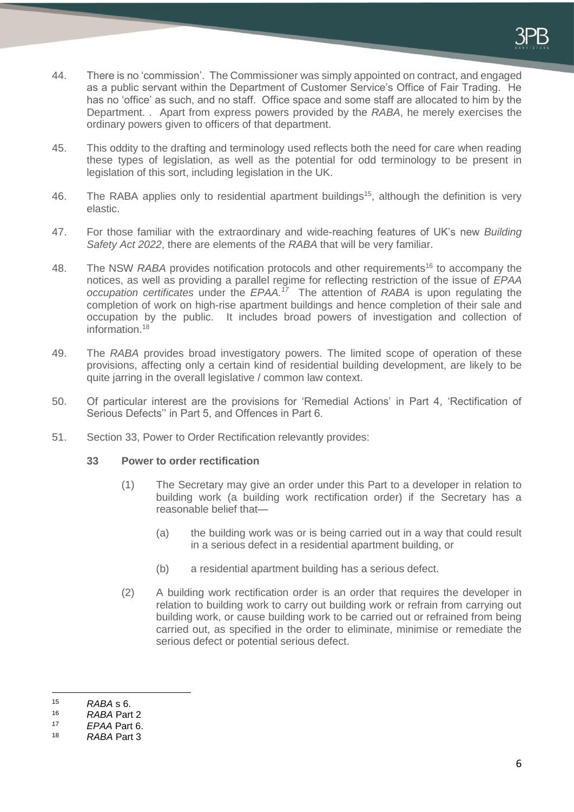- 44. There is no 'commission'. The Commissioner was simply appointed on contract, and engaged as a public servant within the Department of Customer Service's Office of Fair Trading. He has no 'office' as such, and no staff. Office space and some staff are allocated to him by the Department. . Apart from express powers provided by the *RABA*, he merely exercises the ordinary powers given to officers of that department.
- 45. This oddity to the drafting and terminology used reflects both the need for care when reading these types of legislation, as well as the potential for odd terminology to be present in legislation of this sort, including legislation in the UK.
- 46. The RABA applies only to residential apartment buildings<sup>15</sup>, although the definition is very elastic.
- 47. For those familiar with the extraordinary and wide-reaching features of UK's new *Building Safety Act 2022*, there are elements of the *RABA* that will be very familiar.
- 48. The NSW *RABA* provides notification protocols and other requirements<sup>16</sup> to accompany the notices, as well as providing a parallel regime for reflecting restriction of the issue of *EPAA occupation certificates* under the *EPAA.<sup>17</sup>* The attention of *RABA* is upon regulating the completion of work on high-rise apartment buildings and hence completion of their sale and occupation by the public. It includes broad powers of investigation and collection of information.<sup>18</sup>
- 49. The *RABA* provides broad investigatory powers. The limited scope of operation of these provisions, affecting only a certain kind of residential building development, are likely to be quite jarring in the overall legislative / common law context.
- 50. Of particular interest are the provisions for 'Remedial Actions' in Part 4, 'Rectification of Serious Defects'' in Part 5, and Offences in Part 6.
- 51. Section 33, Power to Order Rectification relevantly provides:

#### **33 Power to order rectification**

- (1) The Secretary may give an order under this Part to a developer in relation to building work (a building work rectification order) if the Secretary has a reasonable belief that—
	- (a) the building work was or is being carried out in a way that could result in a serious defect in a residential apartment building, or
	- (b) a residential apartment building has a serious defect.
- (2) A building work rectification order is an order that requires the developer in relation to building work to carry out building work or refrain from carrying out building work, or cause building work to be carried out or refrained from being carried out, as specified in the order to eliminate, minimise or remediate the serious defect or potential serious defect.

<sup>-</sup><sup>15</sup> *RABA* s 6.

<sup>16</sup> *RABA* Part 2

<sup>17</sup> *EPAA* Part 6.

<sup>18</sup> *RABA* Part 3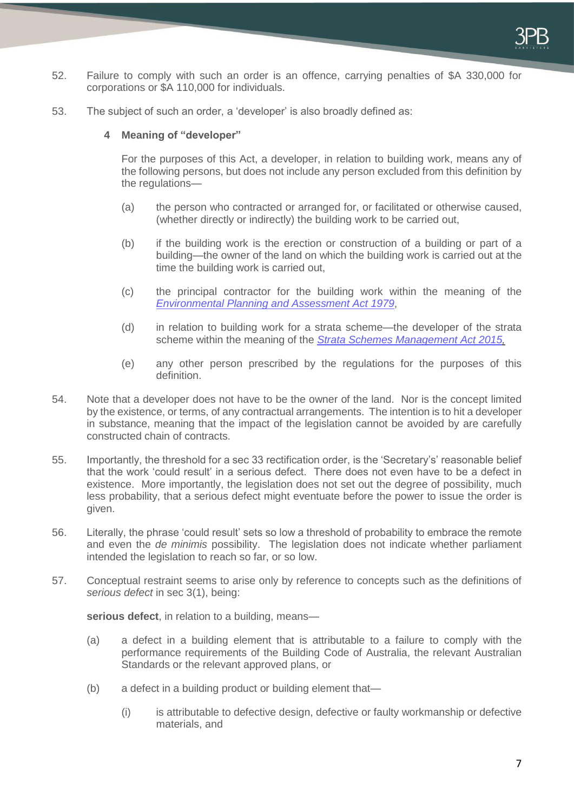- 52. Failure to comply with such an order is an offence, carrying penalties of \$A 330,000 for corporations or \$A 110,000 for individuals.
- 53. The subject of such an order, a 'developer' is also broadly defined as:

#### **4 Meaning of "developer"**

For the purposes of this Act, a developer, in relation to building work, means any of the following persons, but does not include any person excluded from this definition by the regulations—

- (a) the person who contracted or arranged for, or facilitated or otherwise caused, (whether directly or indirectly) the building work to be carried out,
- (b) if the building work is the erection or construction of a building or part of a building—the owner of the land on which the building work is carried out at the time the building work is carried out,
- (c) the principal contractor for the building work within the meaning of the *[Environmental Planning and Assessment Act 1979](https://legislation.nsw.gov.au/view/html/inforce/current/act-1979-203)*,
- (d) in relation to building work for a strata scheme—the developer of the strata scheme within the meaning of the *[Strata Schemes Management Act 2015,](https://legislation.nsw.gov.au/view/html/inforce/current/act-2015-050)*
- (e) any other person prescribed by the regulations for the purposes of this definition.
- 54. Note that a developer does not have to be the owner of the land. Nor is the concept limited by the existence, or terms, of any contractual arrangements. The intention is to hit a developer in substance, meaning that the impact of the legislation cannot be avoided by are carefully constructed chain of contracts.
- 55. Importantly, the threshold for a sec 33 rectification order, is the 'Secretary's' reasonable belief that the work 'could result' in a serious defect. There does not even have to be a defect in existence. More importantly, the legislation does not set out the degree of possibility, much less probability, that a serious defect might eventuate before the power to issue the order is given.
- 56. Literally, the phrase 'could result' sets so low a threshold of probability to embrace the remote and even the *de minimis* possibility. The legislation does not indicate whether parliament intended the legislation to reach so far, or so low.
- 57. Conceptual restraint seems to arise only by reference to concepts such as the definitions of *serious defect* in sec 3(1), being:

**serious defect**, in relation to a building, means—

- (a) a defect in a building element that is attributable to a failure to comply with the performance requirements of the Building Code of Australia, the relevant Australian Standards or the relevant approved plans, or
- (b) a defect in a building product or building element that—
	- (i) is attributable to defective design, defective or faulty workmanship or defective materials, and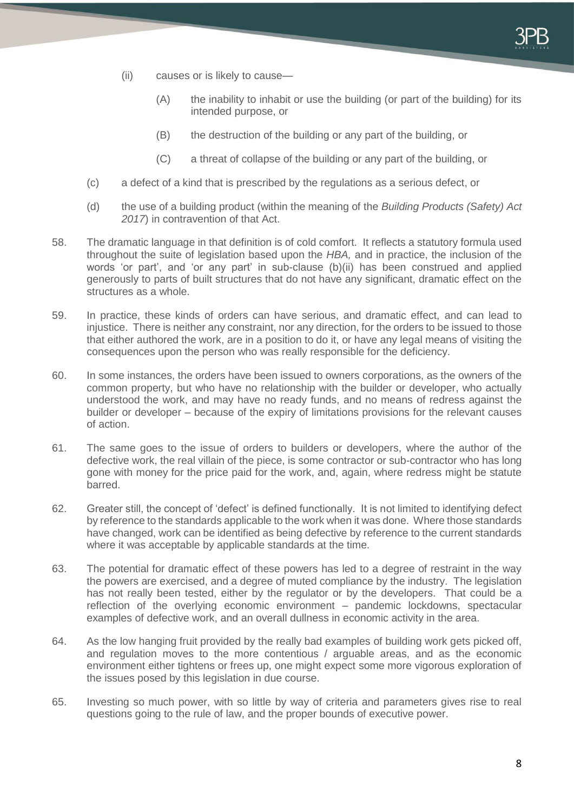- (ii) causes or is likely to cause—
	- (A) the inability to inhabit or use the building (or part of the building) for its intended purpose, or
	- (B) the destruction of the building or any part of the building, or
	- (C) a threat of collapse of the building or any part of the building, or
- (c) a defect of a kind that is prescribed by the regulations as a serious defect, or
- (d) the use of a building product (within the meaning of the *Building Products (Safety) Act 2017*) in contravention of that Act.
- 58. The dramatic language in that definition is of cold comfort. It reflects a statutory formula used throughout the suite of legislation based upon the *HBA,* and in practice, the inclusion of the words 'or part', and 'or any part' in sub-clause (b)(ii) has been construed and applied generously to parts of built structures that do not have any significant, dramatic effect on the structures as a whole.
- 59. In practice, these kinds of orders can have serious, and dramatic effect, and can lead to injustice. There is neither any constraint, nor any direction, for the orders to be issued to those that either authored the work, are in a position to do it, or have any legal means of visiting the consequences upon the person who was really responsible for the deficiency.
- 60. In some instances, the orders have been issued to owners corporations, as the owners of the common property, but who have no relationship with the builder or developer, who actually understood the work, and may have no ready funds, and no means of redress against the builder or developer – because of the expiry of limitations provisions for the relevant causes of action.
- 61. The same goes to the issue of orders to builders or developers, where the author of the defective work, the real villain of the piece, is some contractor or sub-contractor who has long gone with money for the price paid for the work, and, again, where redress might be statute barred.
- 62. Greater still, the concept of 'defect' is defined functionally. It is not limited to identifying defect by reference to the standards applicable to the work when it was done. Where those standards have changed, work can be identified as being defective by reference to the current standards where it was acceptable by applicable standards at the time.
- 63. The potential for dramatic effect of these powers has led to a degree of restraint in the way the powers are exercised, and a degree of muted compliance by the industry. The legislation has not really been tested, either by the regulator or by the developers. That could be a reflection of the overlying economic environment – pandemic lockdowns, spectacular examples of defective work, and an overall dullness in economic activity in the area.
- 64. As the low hanging fruit provided by the really bad examples of building work gets picked off, and regulation moves to the more contentious / arguable areas, and as the economic environment either tightens or frees up, one might expect some more vigorous exploration of the issues posed by this legislation in due course.
- 65. Investing so much power, with so little by way of criteria and parameters gives rise to real questions going to the rule of law, and the proper bounds of executive power.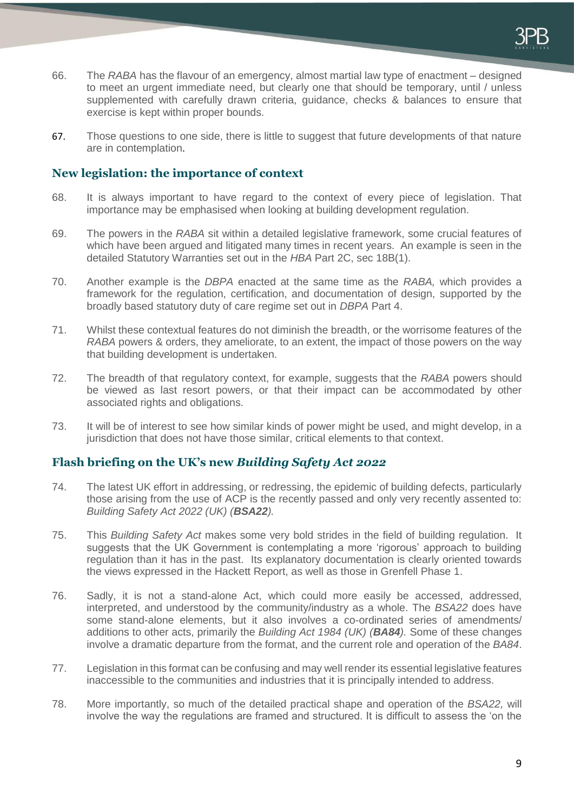

- 66. The *RABA* has the flavour of an emergency, almost martial law type of enactment designed to meet an urgent immediate need, but clearly one that should be temporary, until / unless supplemented with carefully drawn criteria, guidance, checks & balances to ensure that exercise is kept within proper bounds.
- 67. Those questions to one side, there is little to suggest that future developments of that nature are in contemplation.

### **New legislation: the importance of context**

- 68. It is always important to have regard to the context of every piece of legislation. That importance may be emphasised when looking at building development regulation.
- 69. The powers in the *RABA* sit within a detailed legislative framework, some crucial features of which have been argued and litigated many times in recent years. An example is seen in the detailed Statutory Warranties set out in the *HBA* Part 2C, sec 18B(1).
- 70. Another example is the *DBPA* enacted at the same time as the *RABA,* which provides a framework for the regulation, certification, and documentation of design, supported by the broadly based statutory duty of care regime set out in *DBPA* Part 4.
- 71. Whilst these contextual features do not diminish the breadth, or the worrisome features of the *RABA* powers & orders, they ameliorate, to an extent, the impact of those powers on the way that building development is undertaken.
- 72. The breadth of that regulatory context, for example, suggests that the *RABA* powers should be viewed as last resort powers, or that their impact can be accommodated by other associated rights and obligations.
- 73. It will be of interest to see how similar kinds of power might be used, and might develop, in a jurisdiction that does not have those similar, critical elements to that context.

#### **Flash briefing on the UK's new** *Building Safety Act 2022*

- 74. The latest UK effort in addressing, or redressing, the epidemic of building defects, particularly those arising from the use of ACP is the recently passed and only very recently assented to: *Building Safety Act 2022 (UK) (BSA22).*
- 75. This *Building Safety Act* makes some very bold strides in the field of building regulation. It suggests that the UK Government is contemplating a more 'rigorous' approach to building regulation than it has in the past. Its explanatory documentation is clearly oriented towards the views expressed in the Hackett Report, as well as those in Grenfell Phase 1.
- 76. Sadly, it is not a stand-alone Act, which could more easily be accessed, addressed, interpreted, and understood by the community/industry as a whole. The *BSA22* does have some stand-alone elements, but it also involves a co-ordinated series of amendments/ additions to other acts, primarily the *Building Act 1984 (UK) (BA84).* Some of these changes involve a dramatic departure from the format, and the current role and operation of the *BA84*.
- 77. Legislation in this format can be confusing and may well render its essential legislative features inaccessible to the communities and industries that it is principally intended to address.
- 78. More importantly, so much of the detailed practical shape and operation of the *BSA22,* will involve the way the regulations are framed and structured. It is difficult to assess the 'on the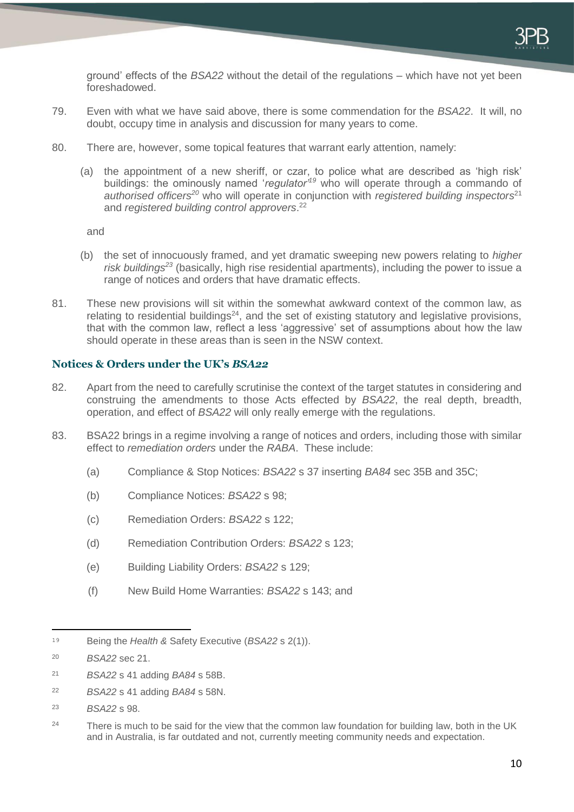ground' effects of the *BSA22* without the detail of the regulations – which have not yet been foreshadowed.

- 79. Even with what we have said above, there is some commendation for the *BSA22*. It will, no doubt, occupy time in analysis and discussion for many years to come.
- 80. There are, however, some topical features that warrant early attention, namely:
	- (a) the appointment of a new sheriff, or czar, to police what are described as 'high risk' buildings: the ominously named '*regulator'<sup>19</sup>* who will operate through a commando of *authorised officers<sup>20</sup>* who will operate in conjunction with *registered building inspectors*<sup>21</sup> and *registered building control approvers*. 22

and

- (b) the set of innocuously framed, and yet dramatic sweeping new powers relating to *higher risk buildings<sup>23</sup>* (basically, high rise residential apartments), including the power to issue a range of notices and orders that have dramatic effects.
- 81. These new provisions will sit within the somewhat awkward context of the common law, as relating to residential buildings<sup>24</sup>, and the set of existing statutory and legislative provisions, that with the common law, reflect a less 'aggressive' set of assumptions about how the law should operate in these areas than is seen in the NSW context.

#### **Notices & Orders under the UK's** *BSA22*

- 82. Apart from the need to carefully scrutinise the context of the target statutes in considering and construing the amendments to those Acts effected by *BSA22*, the real depth, breadth, operation, and effect of *BSA22* will only really emerge with the regulations.
- 83. BSA22 brings in a regime involving a range of notices and orders, including those with similar effect to *remediation orders* under the *RABA*. These include:
	- (a) Compliance & Stop Notices: *BSA22* s 37 inserting *BA84* sec 35B and 35C;
	- (b) Compliance Notices: *BSA22* s 98;
	- (c) Remediation Orders: *BSA22* s 122;
	- (d) Remediation Contribution Orders: *BSA22* s 123;
	- (e) Building Liability Orders: *BSA22* s 129;
	- (f) New Build Home Warranties: *BSA22* s 143; and

-

- <sup>21</sup> *BSA22* s 41 adding *BA84* s 58B.
- <sup>22</sup> *BSA22* s 41 adding *BA84* s 58N.
- <sup>23</sup> *BSA22* s 98.

<sup>19</sup> Being the *Health &* Safety Executive (*BSA22* s 2(1)).

<sup>20</sup> *BSA22* sec 21.

<sup>&</sup>lt;sup>24</sup> There is much to be said for the view that the common law foundation for building law, both in the UK and in Australia, is far outdated and not, currently meeting community needs and expectation.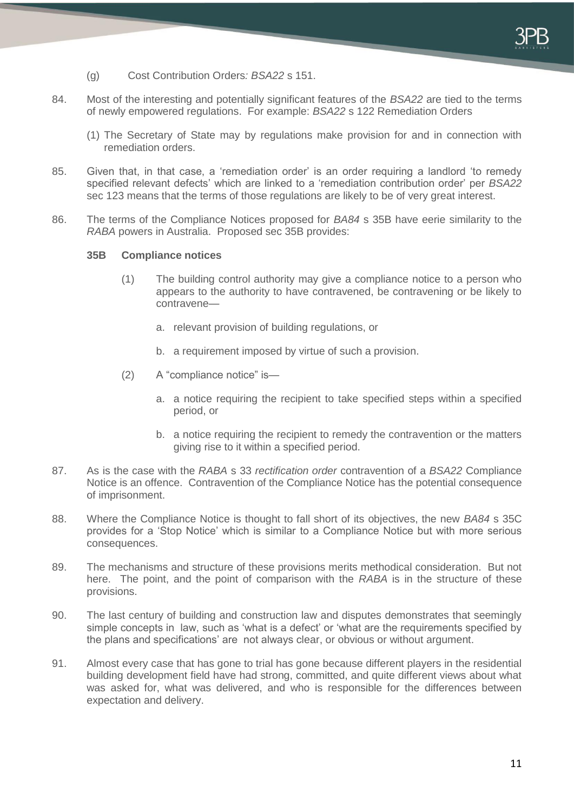

- (g) Cost Contribution Orders*: BSA22* s 151.
- 84. Most of the interesting and potentially significant features of the *BSA22* are tied to the terms of newly empowered regulations. For example: *BSA22* s 122 Remediation Orders
	- (1) The Secretary of State may by regulations make provision for and in connection with remediation orders.
- 85. Given that, in that case, a 'remediation order' is an order requiring a landlord 'to remedy specified relevant defects' which are linked to a 'remediation contribution order' per *BSA22*  sec 123 means that the terms of those regulations are likely to be of very great interest.
- 86. The terms of the Compliance Notices proposed for *BA84* s 35B have eerie similarity to the *RABA* powers in Australia. Proposed sec 35B provides:

#### **35B Compliance notices**

- (1) The building control authority may give a compliance notice to a person who appears to the authority to have contravened, be contravening or be likely to contravene
	- a. relevant provision of building regulations, or
	- b. a requirement imposed by virtue of such a provision.
- (2) A "compliance notice" is
	- a. a notice requiring the recipient to take specified steps within a specified period, or
	- b. a notice requiring the recipient to remedy the contravention or the matters giving rise to it within a specified period.
- 87. As is the case with the *RABA* s 33 *rectification order* contravention of a *BSA22* Compliance Notice is an offence. Contravention of the Compliance Notice has the potential consequence of imprisonment.
- 88. Where the Compliance Notice is thought to fall short of its objectives, the new *BA84* s 35C provides for a 'Stop Notice' which is similar to a Compliance Notice but with more serious consequences.
- 89. The mechanisms and structure of these provisions merits methodical consideration. But not here. The point, and the point of comparison with the *RABA* is in the structure of these provisions.
- 90. The last century of building and construction law and disputes demonstrates that seemingly simple concepts in law, such as 'what is a defect' or 'what are the requirements specified by the plans and specifications' are not always clear, or obvious or without argument.
- 91. Almost every case that has gone to trial has gone because different players in the residential building development field have had strong, committed, and quite different views about what was asked for, what was delivered, and who is responsible for the differences between expectation and delivery.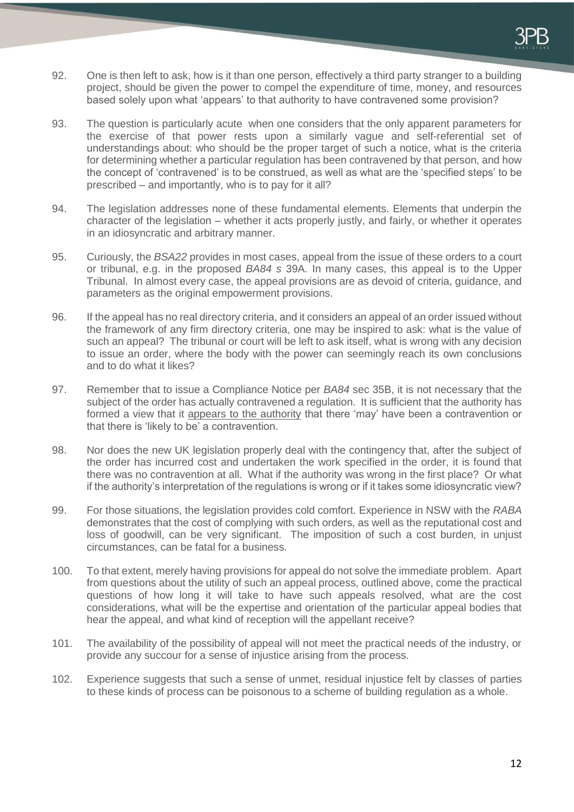- 92. One is then left to ask, how is it than one person, effectively a third party stranger to a building project, should be given the power to compel the expenditure of time, money, and resources based solely upon what 'appears' to that authority to have contravened some provision?
- 93. The question is particularly acute when one considers that the only apparent parameters for the exercise of that power rests upon a similarly vague and self-referential set of understandings about: who should be the proper target of such a notice, what is the criteria for determining whether a particular regulation has been contravened by that person, and how the concept of 'contravened' is to be construed, as well as what are the 'specified steps' to be prescribed – and importantly, who is to pay for it all?
- 94. The legislation addresses none of these fundamental elements. Elements that underpin the character of the legislation – whether it acts properly justly, and fairly, or whether it operates in an idiosyncratic and arbitrary manner.
- 95. Curiously, the *BSA22* provides in most cases, appeal from the issue of these orders to a court or tribunal, e.g. in the proposed *BA84 s* 39A. In many cases, this appeal is to the Upper Tribunal. In almost every case, the appeal provisions are as devoid of criteria, guidance, and parameters as the original empowerment provisions.
- 96. If the appeal has no real directory criteria, and it considers an appeal of an order issued without the framework of any firm directory criteria, one may be inspired to ask: what is the value of such an appeal? The tribunal or court will be left to ask itself, what is wrong with any decision to issue an order, where the body with the power can seemingly reach its own conclusions and to do what it likes?
- 97. Remember that to issue a Compliance Notice per *BA84* sec 35B, it is not necessary that the subject of the order has actually contravened a regulation. It is sufficient that the authority has formed a view that it appears to the authority that there 'may' have been a contravention or that there is 'likely to be' a contravention.
- 98. Nor does the new UK legislation properly deal with the contingency that, after the subject of the order has incurred cost and undertaken the work specified in the order, it is found that there was no contravention at all. What if the authority was wrong in the first place? Or what if the authority's interpretation of the regulations is wrong or if it takes some idiosyncratic view?
- 99. For those situations, the legislation provides cold comfort. Experience in NSW with the *RABA*  demonstrates that the cost of complying with such orders, as well as the reputational cost and loss of goodwill, can be very significant. The imposition of such a cost burden, in unjust circumstances, can be fatal for a business.
- 100. To that extent, merely having provisions for appeal do not solve the immediate problem. Apart from questions about the utility of such an appeal process, outlined above, come the practical questions of how long it will take to have such appeals resolved, what are the cost considerations, what will be the expertise and orientation of the particular appeal bodies that hear the appeal, and what kind of reception will the appellant receive?
- 101. The availability of the possibility of appeal will not meet the practical needs of the industry, or provide any succour for a sense of injustice arising from the process.
- 102. Experience suggests that such a sense of unmet, residual injustice felt by classes of parties to these kinds of process can be poisonous to a scheme of building regulation as a whole.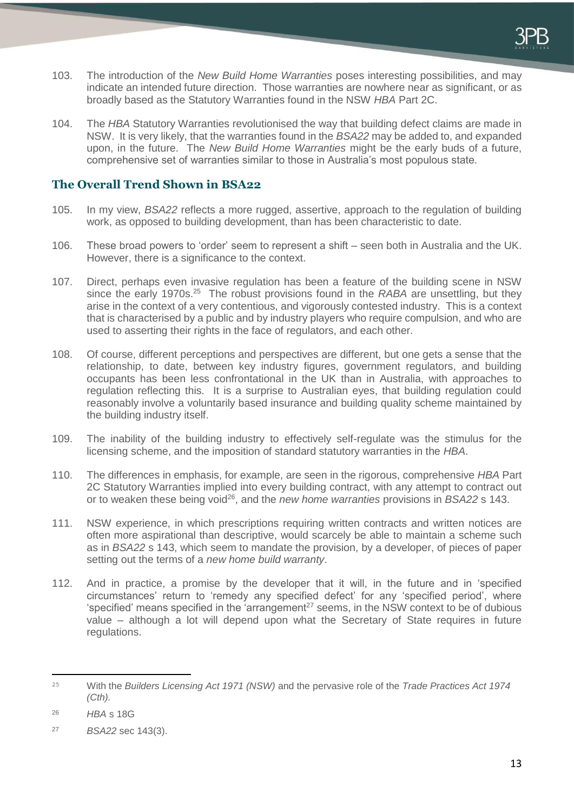- 103. The introduction of the *New Build Home Warranties* poses interesting possibilities, and may indicate an intended future direction. Those warranties are nowhere near as significant, or as broadly based as the Statutory Warranties found in the NSW *HBA* Part 2C.
- 104. The *HBA* Statutory Warranties revolutionised the way that building defect claims are made in NSW. It is very likely, that the warranties found in the *BSA22* may be added to, and expanded upon, in the future. The *New Build Home Warranties* might be the early buds of a future, comprehensive set of warranties similar to those in Australia's most populous state.

## **The Overall Trend Shown in BSA22**

- 105. In my view, *BSA22* reflects a more rugged, assertive, approach to the regulation of building work, as opposed to building development, than has been characteristic to date.
- 106. These broad powers to 'order' seem to represent a shift seen both in Australia and the UK. However, there is a significance to the context.
- 107. Direct, perhaps even invasive regulation has been a feature of the building scene in NSW since the early 1970s.<sup>25</sup> The robust provisions found in the *RABA* are unsettling, but they arise in the context of a very contentious, and vigorously contested industry. This is a context that is characterised by a public and by industry players who require compulsion, and who are used to asserting their rights in the face of regulators, and each other.
- 108. Of course, different perceptions and perspectives are different, but one gets a sense that the relationship, to date, between key industry figures, government regulators, and building occupants has been less confrontational in the UK than in Australia, with approaches to regulation reflecting this. It is a surprise to Australian eyes, that building regulation could reasonably involve a voluntarily based insurance and building quality scheme maintained by the building industry itself.
- 109. The inability of the building industry to effectively self-regulate was the stimulus for the licensing scheme, and the imposition of standard statutory warranties in the *HBA*.
- 110. The differences in emphasis, for example, are seen in the rigorous, comprehensive *HBA* Part 2C Statutory Warranties implied into every building contract, with any attempt to contract out or to weaken these being void<sup>26</sup>, and the *new home warranties* provisions in *BSA22* s 143.
- 111. NSW experience, in which prescriptions requiring written contracts and written notices are often more aspirational than descriptive, would scarcely be able to maintain a scheme such as in *BSA22* s 143, which seem to mandate the provision, by a developer, of pieces of paper setting out the terms of a *new home build warranty*.
- 112. And in practice, a promise by the developer that it will, in the future and in 'specified circumstances' return to 'remedy any specified defect' for any 'specified period', where 'specified' means specified in the 'arrangement<sup>27</sup> seems, in the NSW context to be of dubious value – although a lot will depend upon what the Secretary of State requires in future regulations.

-

<sup>25</sup> With the *Builders Licensing Act 1971 (NSW)* and the pervasive role of the *Trade Practices Act 1974 (Cth).*

<sup>26</sup> *HBA* s 18G

<sup>27</sup> *BSA22* sec 143(3).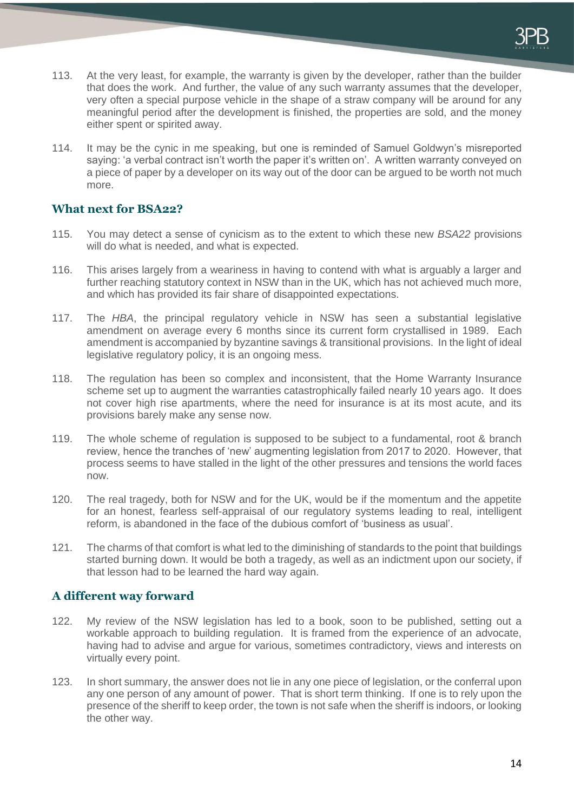- 113. At the very least, for example, the warranty is given by the developer, rather than the builder that does the work. And further, the value of any such warranty assumes that the developer, very often a special purpose vehicle in the shape of a straw company will be around for any meaningful period after the development is finished, the properties are sold, and the money either spent or spirited away.
- 114. It may be the cynic in me speaking, but one is reminded of Samuel Goldwyn's misreported saying: 'a verbal contract isn't worth the paper it's written on'. A written warranty conveyed on a piece of paper by a developer on its way out of the door can be argued to be worth not much more.

### **What next for BSA22?**

- 115. You may detect a sense of cynicism as to the extent to which these new *BSA22* provisions will do what is needed, and what is expected.
- 116. This arises largely from a weariness in having to contend with what is arguably a larger and further reaching statutory context in NSW than in the UK, which has not achieved much more, and which has provided its fair share of disappointed expectations.
- 117. The *HBA*, the principal regulatory vehicle in NSW has seen a substantial legislative amendment on average every 6 months since its current form crystallised in 1989. Each amendment is accompanied by byzantine savings & transitional provisions. In the light of ideal legislative regulatory policy, it is an ongoing mess.
- 118. The regulation has been so complex and inconsistent, that the Home Warranty Insurance scheme set up to augment the warranties catastrophically failed nearly 10 years ago. It does not cover high rise apartments, where the need for insurance is at its most acute, and its provisions barely make any sense now.
- 119. The whole scheme of regulation is supposed to be subject to a fundamental, root & branch review, hence the tranches of 'new' augmenting legislation from 2017 to 2020. However, that process seems to have stalled in the light of the other pressures and tensions the world faces now.
- 120. The real tragedy, both for NSW and for the UK, would be if the momentum and the appetite for an honest, fearless self-appraisal of our regulatory systems leading to real, intelligent reform, is abandoned in the face of the dubious comfort of 'business as usual'.
- 121. The charms of that comfort is what led to the diminishing of standards to the point that buildings started burning down. It would be both a tragedy, as well as an indictment upon our society, if that lesson had to be learned the hard way again.

## **A different way forward**

- 122. My review of the NSW legislation has led to a book, soon to be published, setting out a workable approach to building regulation. It is framed from the experience of an advocate, having had to advise and argue for various, sometimes contradictory, views and interests on virtually every point.
- 123. In short summary, the answer does not lie in any one piece of legislation, or the conferral upon any one person of any amount of power. That is short term thinking. If one is to rely upon the presence of the sheriff to keep order, the town is not safe when the sheriff is indoors, or looking the other way.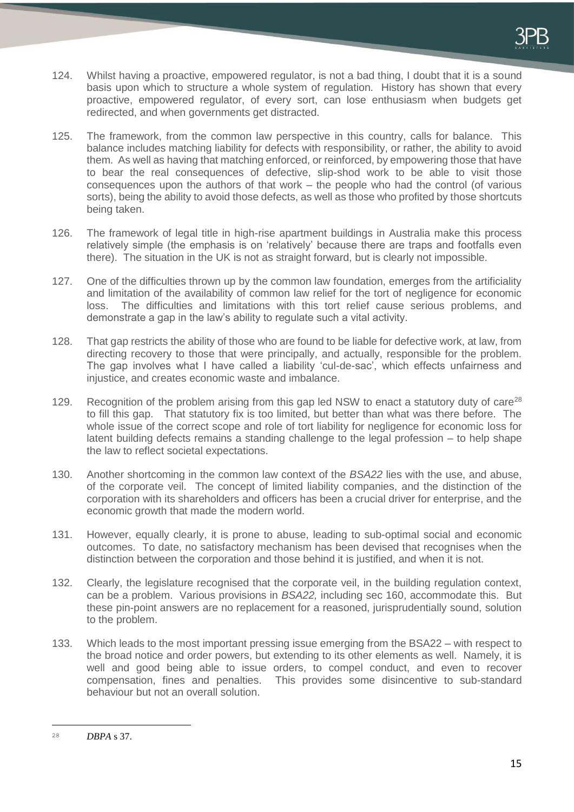- 124. Whilst having a proactive, empowered regulator, is not a bad thing, I doubt that it is a sound basis upon which to structure a whole system of regulation. History has shown that every proactive, empowered regulator, of every sort, can lose enthusiasm when budgets get redirected, and when governments get distracted.
- 125. The framework, from the common law perspective in this country, calls for balance. This balance includes matching liability for defects with responsibility, or rather, the ability to avoid them. As well as having that matching enforced, or reinforced, by empowering those that have to bear the real consequences of defective, slip-shod work to be able to visit those consequences upon the authors of that work – the people who had the control (of various sorts), being the ability to avoid those defects, as well as those who profited by those shortcuts being taken.
- 126. The framework of legal title in high-rise apartment buildings in Australia make this process relatively simple (the emphasis is on 'relatively' because there are traps and footfalls even there). The situation in the UK is not as straight forward, but is clearly not impossible.
- 127. One of the difficulties thrown up by the common law foundation, emerges from the artificiality and limitation of the availability of common law relief for the tort of negligence for economic loss. The difficulties and limitations with this tort relief cause serious problems, and demonstrate a gap in the law's ability to regulate such a vital activity.
- 128. That gap restricts the ability of those who are found to be liable for defective work, at law, from directing recovery to those that were principally, and actually, responsible for the problem. The gap involves what I have called a liability 'cul-de-sac', which effects unfairness and injustice, and creates economic waste and imbalance.
- 129. Recognition of the problem arising from this gap led NSW to enact a statutory duty of care<sup>28</sup> to fill this gap. That statutory fix is too limited, but better than what was there before. The whole issue of the correct scope and role of tort liability for negligence for economic loss for latent building defects remains a standing challenge to the legal profession – to help shape the law to reflect societal expectations.
- 130. Another shortcoming in the common law context of the *BSA22* lies with the use, and abuse, of the corporate veil. The concept of limited liability companies, and the distinction of the corporation with its shareholders and officers has been a crucial driver for enterprise, and the economic growth that made the modern world.
- 131. However, equally clearly, it is prone to abuse, leading to sub-optimal social and economic outcomes. To date, no satisfactory mechanism has been devised that recognises when the distinction between the corporation and those behind it is justified, and when it is not.
- 132. Clearly, the legislature recognised that the corporate veil, in the building regulation context, can be a problem. Various provisions in *BSA22,* including sec 160, accommodate this. But these pin-point answers are no replacement for a reasoned, jurisprudentially sound, solution to the problem.
- 133. Which leads to the most important pressing issue emerging from the BSA22 with respect to the broad notice and order powers, but extending to its other elements as well. Namely, it is well and good being able to issue orders, to compel conduct, and even to recover compensation, fines and penalties. This provides some disincentive to sub-standard behaviour but not an overall solution.

<sup>-</sup><sup>28</sup> *DBPA* s 37.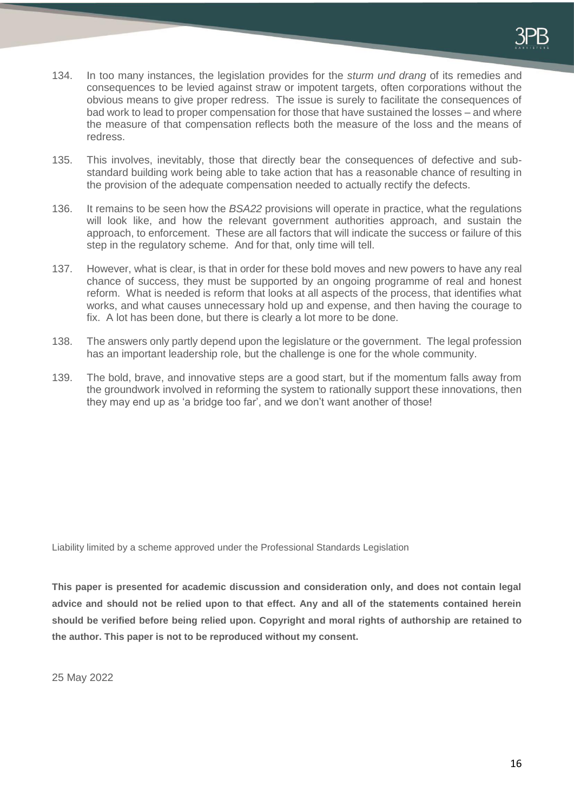- 134. In too many instances, the legislation provides for the *sturm und drang* of its remedies and consequences to be levied against straw or impotent targets, often corporations without the obvious means to give proper redress. The issue is surely to facilitate the consequences of bad work to lead to proper compensation for those that have sustained the losses – and where the measure of that compensation reflects both the measure of the loss and the means of redress.
- 135. This involves, inevitably, those that directly bear the consequences of defective and substandard building work being able to take action that has a reasonable chance of resulting in the provision of the adequate compensation needed to actually rectify the defects.
- 136. It remains to be seen how the *BSA22* provisions will operate in practice, what the regulations will look like, and how the relevant government authorities approach, and sustain the approach, to enforcement. These are all factors that will indicate the success or failure of this step in the regulatory scheme. And for that, only time will tell.
- 137. However, what is clear, is that in order for these bold moves and new powers to have any real chance of success, they must be supported by an ongoing programme of real and honest reform. What is needed is reform that looks at all aspects of the process, that identifies what works, and what causes unnecessary hold up and expense, and then having the courage to fix. A lot has been done, but there is clearly a lot more to be done.
- 138. The answers only partly depend upon the legislature or the government. The legal profession has an important leadership role, but the challenge is one for the whole community.
- 139. The bold, brave, and innovative steps are a good start, but if the momentum falls away from the groundwork involved in reforming the system to rationally support these innovations, then they may end up as 'a bridge too far', and we don't want another of those!

Liability limited by a scheme approved under the Professional Standards Legislation

**This paper is presented for academic discussion and consideration only, and does not contain legal advice and should not be relied upon to that effect. Any and all of the statements contained herein should be verified before being relied upon. Copyright and moral rights of authorship are retained to the author. This paper is not to be reproduced without my consent.** 

25 May 2022